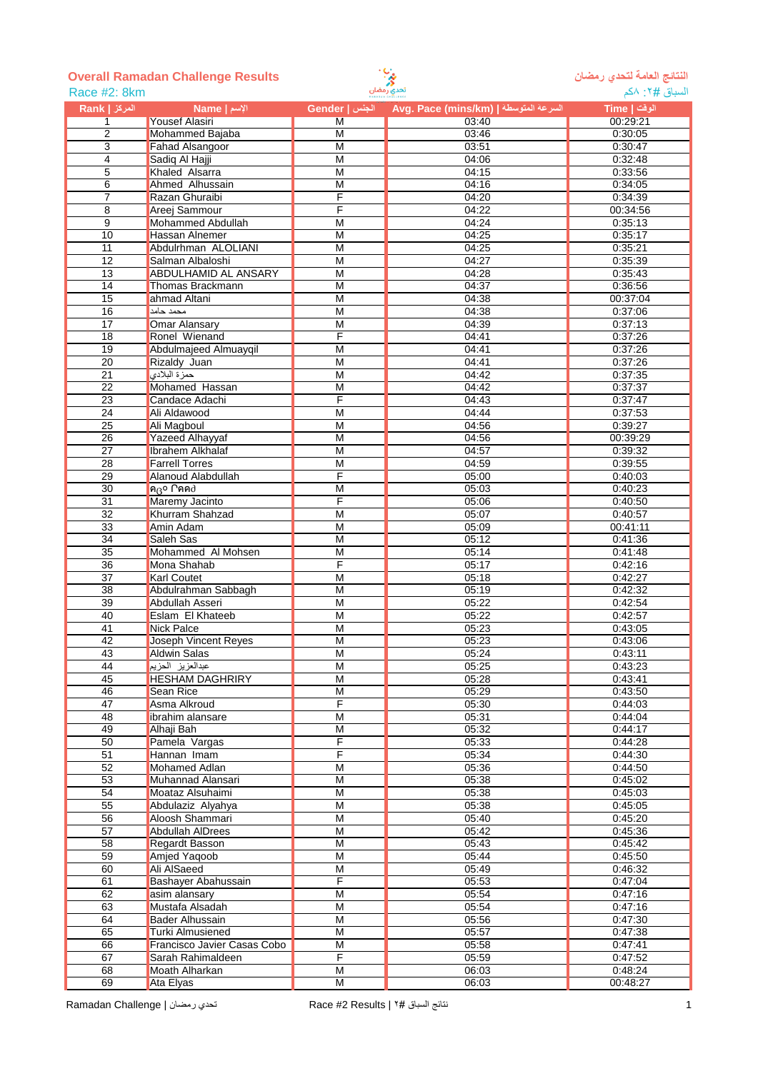

## **النتائج العامة لتحدي رمضان Results Challenge Ramadan Overall**

| Race #2: 8km     |                             | تحدي رمضان              | السباق #٢: ٨كم                        |              |
|------------------|-----------------------------|-------------------------|---------------------------------------|--------------|
| المركز   Rank    | الإسم   Name                | الجنس   Gender          | Avg. Pace (mins/km)   السرعة المتوسطة | الوقت   Time |
| $\mathbf{1}$     | <b>Yousef Alasiri</b>       | M                       | 03:40                                 | 00:29:21     |
| $\overline{2}$   | Mohammed Bajaba             | M                       | 03:46                                 | 0:30:05      |
| 3                | <b>Fahad Alsangoor</b>      | $\overline{M}$          | 03:51                                 | 0:30:47      |
| 4                | Sadiq Al Hajji              | M                       | 04:06                                 | 0:32:48      |
| 5                | Khaled Alsarra              | M                       | 04:15                                 | 0:33:56      |
| 6                | Ahmed Alhussain             | $\overline{M}$          | 04:16                                 | 0:34:05      |
| $\overline{7}$   | Razan Ghuraibi              | F                       | 04:20                                 | 0:34:39      |
| 8                | Areej Sammour               | F                       | 04:22                                 | 00:34:56     |
| $\boldsymbol{9}$ | <b>Mohammed Abdullah</b>    | M                       | 04:24                                 | 0:35:13      |
| 10               | <b>Hassan Alnemer</b>       | M                       | 04:25                                 | 0:35:17      |
| $\overline{11}$  | Abdulrhman ALOLIANI         | M                       | 04:25                                 | 0:35:21      |
| 12               | Salman Albaloshi            | M                       | 04:27                                 | 0:35:39      |
| 13               | <b>ABDULHAMID AL ANSARY</b> | $\overline{M}$          | 04:28                                 | 0:35:43      |
| 14               | Thomas Brackmann            | M                       | 04:37                                 | 0:36:56      |
| 15               | ahmad Altani                | $\overline{\mathsf{M}}$ | 04:38                                 | 00:37:04     |
| 16               | محمد حامد                   | M                       | 04:38                                 | 0:37:06      |
| 17               | Omar Alansary               | M                       | 04:39                                 | 0:37:13      |
| 18               | Ronel Wienand               | F                       | 04:41                                 | 0:37:26      |
| 19               | Abdulmajeed Almuayqil       | M                       | 04:41                                 | 0:37:26      |
| $\overline{20}$  | Rizaldy Juan                | M                       | 04:41                                 | 0:37:26      |
| 21               | حمزة البلادي                | M                       | 04:42                                 | 0:37:35      |
| 22               | Mohamed Hassan              | M                       | 04:42                                 | 0:37:37      |
| 23               | Candace Adachi              | F                       | 04:43                                 | 0:37:47      |
| $\overline{24}$  | Ali Aldawood                | $\overline{M}$          | 04:44                                 | 0:37:53      |
| $\overline{25}$  | Ali Magboul                 | M                       | 04:56                                 | 0:39:27      |
| 26               | Yazeed Alhayyaf             | M                       | 04:56                                 | 00:39:29     |
| $\overline{27}$  | Ibrahem Alkhalaf            | $\overline{M}$          | 04:57                                 | 0:39:32      |
| 28               | <b>Farrell Torres</b>       | M                       | 04:59                                 | 0:39:55      |
| 29               | Alanoud Alabdullah          | F                       | 05:00                                 | 0:40:03      |
| 30               | ค $\beta$ o Cคค $\beta$     | M                       | 05:03                                 | 0:40:23      |
| $\overline{31}$  | Maremy Jacinto              | F                       | 05:06                                 | 0:40:50      |
| $\overline{32}$  | Khurram Shahzad             | M                       | 05:07                                 | 0:40:57      |
| 33               | Amin Adam                   | M                       | 05:09                                 | 00:41:11     |
| $\overline{34}$  | Saleh Sas                   | $\overline{M}$          | 05:12                                 | 0:41:36      |
| 35               | Mohammed Al Mohsen          | M                       | 05:14                                 | 0:41:48      |
| $\overline{36}$  | Mona Shahab                 | F                       | 05:17                                 | 0:42:16      |
| 37               | <b>Karl Coutet</b>          | M                       | 05:18                                 | 0:42:27      |
| 38               | Abdulrahman Sabbagh         | M                       | 05:19                                 | 0:42:32      |
| 39               | Abdullah Asseri             | M                       | 05:22                                 | 0:42:54      |
| 40               | Eslam El Khateeb            | M                       | 05:22                                 | 0:42:57      |
| 41               | <b>Nick Palce</b>           | M                       | 05:23                                 | 0:43:05      |
| 42               | Joseph Vincent Reyes        | M                       | 05:23                                 | 0:43:06      |
| 43               | Aldwin Salas                | M                       | 05:24                                 | 0:43:11      |
| 44               | عبدالعزيز الحزيم            | М                       | 05:25                                 | 0:43:23      |
| 45               | <b>HESHAM DAGHRIRY</b>      | $\overline{M}$          | 05:28                                 | 0:43:41      |
| 46               | Sean Rice                   | $\overline{\mathsf{M}}$ | 05:29                                 | 0:43:50      |
| 47               | Asma Alkroud                | F                       | 05:30                                 | 0:44:03      |
| 48               | ibrahim alansare            | $\overline{\mathsf{M}}$ | 05:31                                 | 0:44:04      |
| 49               | Alhaji Bah                  | M                       | 05:32                                 | 0:44:17      |
| 50               | Pamela Vargas               | F                       | 05:33                                 | 0:44:28      |
| 51               | Hannan Imam                 | F                       | 05:34                                 | 0:44:30      |
| 52               | <b>Mohamed Adlan</b>        | М                       | 05:36                                 | 0:44:50      |
| 53               | Muhannad Alansari           | M                       | 05:38                                 | 0:45:02      |
| 54               | Moataz Alsuhaimi            | M                       | 05:38                                 | 0:45:03      |
| 55               | Abdulaziz Alyahya           | $\overline{\mathsf{M}}$ | 05:38                                 | 0:45:05      |
| $\overline{56}$  | Aloosh Shammari             | $\overline{M}$          | 05:40                                 | 0:45:20      |
| $\overline{57}$  | <b>Abdullah AIDrees</b>     | $\overline{\mathsf{M}}$ | 05:42                                 | 0:45:36      |
| 58               | Regardt Basson              | M                       | 05:43                                 | 0:45:42      |
| 59               | Amjed Yaqoob                | M                       | 05:44                                 | 0:45:50      |
| 60               | Ali AlSaeed                 | M                       | 05:49                                 | 0:46:32      |
| 61               | Bashayer Abahussain         | F                       | 05:53                                 | 0:47:04      |
| 62               | asim alansary               | M                       | 05:54                                 | 0:47:16      |
| 63               | Mustafa Alsadah             | M                       | 05:54                                 | 0:47:16      |
| 64               | Bader Alhussain             | M                       | 05:56                                 | 0:47:30      |
| 65               | Turki Almusiened            | $\overline{\mathsf{M}}$ | 05:57                                 | 0:47:38      |
| 66               | Francisco Javier Casas Cobo | M                       | 05:58                                 | 0:47:41      |
| 67               | Sarah Rahimaldeen           | F                       | 05:59                                 | 0:47:52      |
| 68               | Moath Alharkan              | M                       | 06:03                                 | 0:48:24      |
| 69               | Ata Elyas                   | M                       | 06:03                                 | 00:48:27     |
|                  |                             |                         |                                       |              |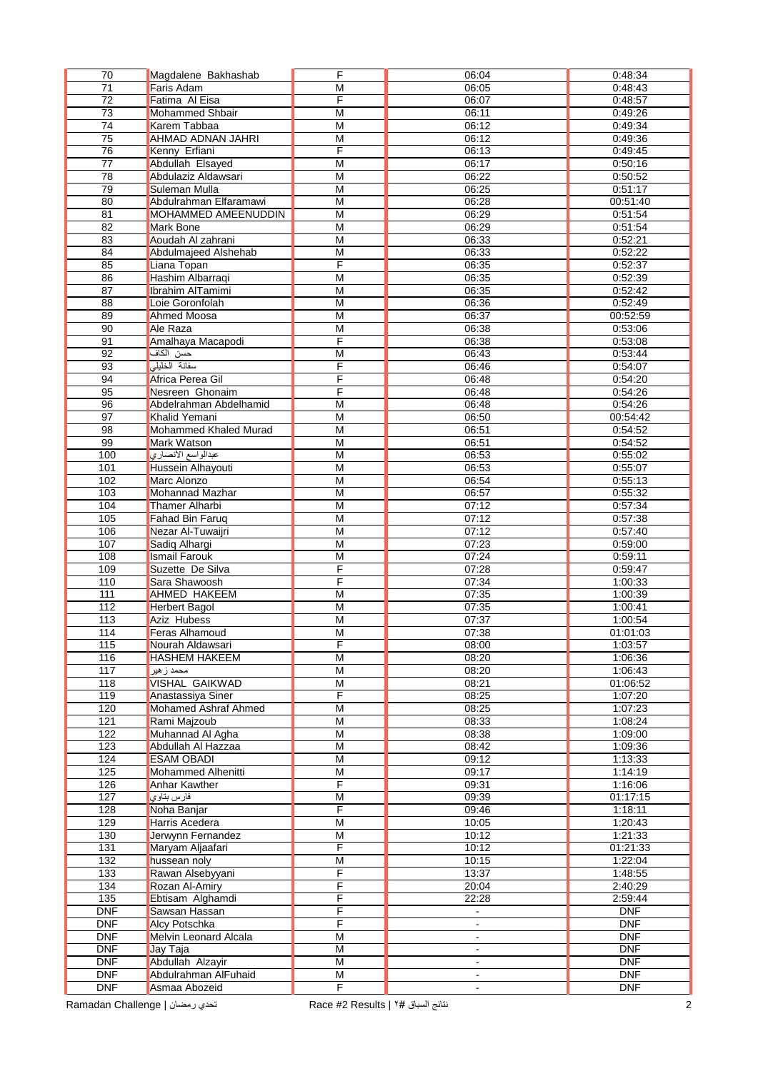| $\overline{70}$  | Magdalene Bakhashab      | F                       | 06:04          | 0:48:34    |
|------------------|--------------------------|-------------------------|----------------|------------|
| $\overline{71}$  | <b>Faris Adam</b>        | M                       | 06:05          | 0:48:43    |
| $\overline{72}$  | Fatima Al Eisa           | F                       | 06:07          | 0:48:57    |
| $\overline{73}$  | <b>Mohammed Shbair</b>   | M                       | 06:11          | 0:49:26    |
| 74               | Karem Tabbaa             | M                       | 06:12          | 0:49:34    |
| 75               | <b>AHMAD ADNAN JAHRI</b> | M                       | 06:12          | 0:49:36    |
| 76               | Kenny Erfiani            | F                       | 06:13          | 0:49:45    |
| $\overline{77}$  | Abdullah Elsayed         | $\overline{M}$          | 06:17          | 0:50:16    |
|                  |                          |                         |                |            |
| 78               | Abdulaziz Aldawsari      | M                       | 06:22          | 0:50:52    |
| 79               | Suleman Mulla            | $\overline{M}$          | 06:25          | 0:51:17    |
| 80               | Abdulrahman Elfaramawi   | M                       | 06:28          | 00:51:40   |
| 81               | MOHAMMED AMEENUDDIN      | M                       | 06:29          | 0:51:54    |
| 82               | Mark Bone                | $\overline{M}$          | 06:29          | 0:51:54    |
| 83               | Aoudah Al zahrani        | M                       | 06:33          | 0:52:21    |
| 84               | Abdulmajeed Alshehab     | M                       | 06:33          | 0:52:22    |
| 85               | Liana Topan              | F                       | 06:35          | 0:52:37    |
| 86               | Hashim Albarraqi         | M                       | 06:35          | 0:52:39    |
| 87               | Ibrahim AlTamimi         | M                       | 06:35          | 0:52:42    |
| $\overline{88}$  | Loie Goronfolah          | M                       | 06:36          | 0:52:49    |
| 89               | <b>Ahmed Moosa</b>       | $\overline{M}$          | 06:37          | 00:52:59   |
| 90               | Ale Raza                 | M                       | 06:38          | 0:53:06    |
| 91               | Amalhaya Macapodi        | F                       | 06:38          | 0:53:08    |
| 92               | حسن الكاف                | M                       | 06:43          | 0:53:44    |
| 93               | سفانة الخليلى            | F                       |                |            |
|                  |                          |                         | 06:46          | 0:54:07    |
| 94               | Africa Perea Gil         | F                       | 06:48          | 0:54:20    |
| 95               | Nesreen Ghonaim          | F                       | 06:48          | 0:54:26    |
| 96               | Abdelrahman Abdelhamid   | $\overline{M}$          | 06:48          | 0:54:26    |
| 97               | Khalid Yemani            | M                       | 06:50          | 00:54:42   |
| $\overline{98}$  | Mohammed Khaled Murad    | $\overline{M}$          | 06:51          | 0:54:52    |
| 99               | Mark Watson              | M                       | 06:51          | 0:54:52    |
| 100              | عبدالواسع الأنصاري       | $\overline{M}$          | 06:53          | 0:55:02    |
| 101              | Hussein Alhayouti        | $\overline{M}$          | 06:53          | 0:55:07    |
| 102              | Marc Alonzo              | M                       | 06:54          | 0:55:13    |
| 103              | Mohannad Mazhar          | $\overline{M}$          | 06:57          | 0:55:32    |
| 104              | <b>Thamer Alharbi</b>    | M                       | 07:12          | 0:57:34    |
| 105              | Fahad Bin Faruq          | M                       | 07:12          | 0:57:38    |
| 106              | Nezar Al-Tuwaijri        | M                       | 07:12          | 0:57:40    |
| 107              |                          | $\overline{M}$          | 07:23          | 0:59:00    |
|                  | Sadiq Alhargi            |                         |                |            |
| 108              | <b>Ismail Farouk</b>     | M                       | 07:24          | 0:59:11    |
| 109              | Suzette De Silva         | F                       | 07:28          | 0:59:47    |
| 110              | Sara Shawoosh            | F                       | 07:34          | 1:00:33    |
| 111              | AHMED HAKEEM             | M                       | 07:35          | 1:00:39    |
| 112              | <b>Herbert Bagol</b>     | $\overline{M}$          | 07:35          | 1:00:41    |
| $\overline{113}$ | Aziz Hubess              | M                       | 07:37          | 1:00:54    |
| 114              | <b>Feras Alhamoud</b>    | M                       | 07:38          | 01:01:03   |
| 115              | Nourah Aldawsari         | F                       | 08:00          | 1:03:57    |
| 116              | <b>HASHEM HAKEEM</b>     | M                       | 08:20          | 1:06:36    |
| 117              | محمد ز هیر               | $\overline{M}$          | 08:20          | 1:06:43    |
| 118              | <b>VISHAL GAIKWAD</b>    | M                       | 08:21          | 01:06:52   |
| 119              | Anastassiya Siner        | F                       | 08:25          | 1:07:20    |
| 120              | Mohamed Ashraf Ahmed     | M                       | 08:25          | 1:07:23    |
| 121              | Rami Majzoub             | M                       | 08:33          | 1:08:24    |
| 122              | Muhannad Al Agha         | M                       | 08:38          | 1:09:00    |
| 123              | Abdullah Al Hazzaa       | $\overline{\mathsf{M}}$ | 08:42          | 1:09:36    |
| 124              | <b>ESAM OBADI</b>        | $\overline{M}$          | 09:12          |            |
|                  |                          |                         |                | 1:13:33    |
| 125              | Mohammed Alhenitti       | M                       | 09:17          | 1:14:19    |
| 126              | Anhar Kawther            | F                       | 09:31          | 1:16:06    |
| 127              | فارس بتاوي               | M                       | 09:39          | 01:17:15   |
| 128              | Noha Banjar              | F                       | 09:46          | 1:18:11    |
| 129              | Harris Acedera           | $\overline{M}$          | 10:05          | 1:20:43    |
| 130              | Jerwynn Fernandez        | M                       | 10:12          | 1:21:33    |
| 131              | Maryam Aljaafari         | F                       | 10:12          | 01:21:33   |
| $\overline{132}$ | hussean noly             | $\overline{M}$          | 10:15          | 1:22:04    |
| 133              | Rawan Alsebyyani         | F                       | 13:37          | 1:48:55    |
| 134              | Rozan Al-Amiry           | F                       | 20:04          | 2:40:29    |
| $\overline{135}$ | Ebtisam Alghamdi         | F                       | 22:28          | 2:59:44    |
| <b>DNF</b>       | Sawsan Hassan            | F                       | $\omega$       | <b>DNF</b> |
| DNF              | <b>Alcy Potschka</b>     | F                       | $\blacksquare$ | <b>DNF</b> |
| <b>DNF</b>       |                          | $\overline{M}$          |                | <b>DNF</b> |
|                  | Melvin Leonard Alcala    |                         | $\blacksquare$ | <b>DNF</b> |
| <b>DNF</b>       | Jay Taja                 | $\overline{M}$          | $\omega$       |            |
| <b>DNF</b>       | Abdullah Alzayir         | M                       | $\blacksquare$ | <b>DNF</b> |
| <b>DNF</b>       | Abdulrahman AlFuhaid     | M                       | $\blacksquare$ | <b>DNF</b> |
| <b>DNF</b>       | Asmaa Abozeid            | F                       | $\mathbf{r}$   | <b>DNF</b> |